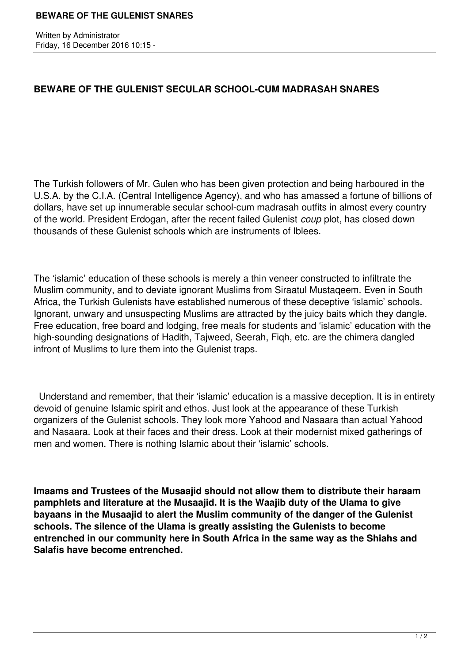Written by Administrator Friday, 16 December 2016 10:15 -

## **BEWARE OF THE GULENIST SECULAR SCHOOL-CUM MADRASAH SNARES**

The Turkish followers of Mr. Gulen who has been given protection and being harboured in the U.S.A. by the C.I.A. (Central Intelligence Agency), and who has amassed a fortune of billions of dollars, have set up innumerable secular school-cum madrasah outfits in almost every country of the world. President Erdogan, after the recent failed Gulenist *coup* plot, has closed down thousands of these Gulenist schools which are instruments of Iblees.

The 'islamic' education of these schools is merely a thin veneer constructed to infiltrate the Muslim community, and to deviate ignorant Muslims from Siraatul Mustaqeem. Even in South Africa, the Turkish Gulenists have established numerous of these deceptive 'islamic' schools. Ignorant, unwary and unsuspecting Muslims are attracted by the juicy baits which they dangle. Free education, free board and lodging, free meals for students and 'islamic' education with the high-sounding designations of Hadith, Tajweed, Seerah, Fiqh, etc. are the chimera dangled infront of Muslims to lure them into the Gulenist traps.

 Understand and remember, that their 'islamic' education is a massive deception. It is in entirety devoid of genuine Islamic spirit and ethos. Just look at the appearance of these Turkish organizers of the Gulenist schools. They look more Yahood and Nasaara than actual Yahood and Nasaara. Look at their faces and their dress. Look at their modernist mixed gatherings of men and women. There is nothing Islamic about their 'islamic' schools.

**Imaams and Trustees of the Musaajid should not allow them to distribute their haraam pamphlets and literature at the Musaajid. It is the Waajib duty of the Ulama to give bayaans in the Musaajid to alert the Muslim community of the danger of the Gulenist schools. The silence of the Ulama is greatly assisting the Gulenists to become entrenched in our community here in South Africa in the same way as the Shiahs and Salafis have become entrenched.**